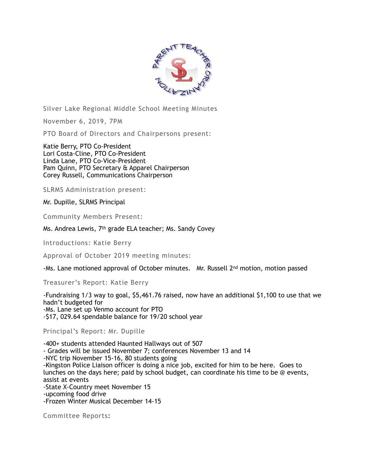

Silver Lake Regional Middle School Meeting Minutes

November 6, 2019, 7PM

PTO Board of Directors and Chairpersons present:

Katie Berry, PTO Co-President Lori Costa-Cline, PTO Co-President Linda Lane, PTO Co-Vice-President Pam Quinn, PTO Secretary & Apparel Chairperson Corey Russell, Communications Chairperson

SLRMS Administration present:

Mr. Dupille, SLRMS Principal

Community Members Present:

Ms. Andrea Lewis, 7th grade ELA teacher; Ms. Sandy Covey

Introductions: Katie Berry

Approval of October 2019 meeting minutes:

-Ms. Lane motioned approval of October minutes. Mr. Russell 2nd motion, motion passed

Treasurer's Report: Katie Berry

-Fundraising 1/3 way to goal, \$5,461.76 raised, now have an additional \$1,100 to use that we hadn't budgeted for -Ms. Lane set up Venmo account for PTO -\$17, 029.64 spendable balance for 19/20 school year

Principal's Report: Mr. Dupille

-400+ students attended Haunted Hallways out of 507 - Grades will be issued November 7; conferences November 13 and 14 -NYC trip November 15-16, 80 students going -Kingston Police Liaison officer is doing a nice job, excited for him to be here. Goes to lunches on the days here; paid by school budget, can coordinate his time to be @ events, assist at events -State X-Country meet November 15 -upcoming food drive -Frozen Winter Musical December 14-15

Committee Reports: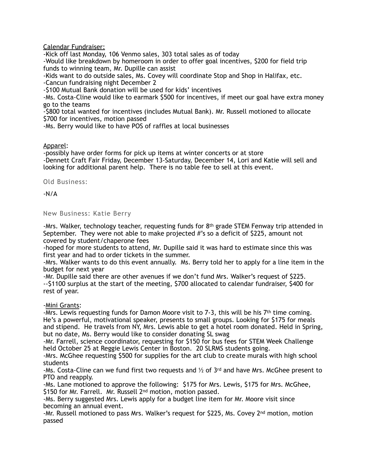Calendar Fundraiser:

-Kick off last Monday, 106 Venmo sales, 303 total sales as of today

-Would like breakdown by homeroom in order to offer goal incentives, \$200 for field trip funds to winning team, Mr. Dupille can assist

-Kids want to do outside sales, Ms. Covey will coordinate Stop and Shop in Halifax, etc.

-Cancun fundraising night December 2

-\$100 Mutual Bank donation will be used for kids' incentives

-Ms. Costa-Cline would like to earmark \$500 for incentives, if meet our goal have extra money go to the teams

-\$800 total wanted for incentives (includes Mutual Bank). Mr. Russell motioned to allocate \$700 for incentives, motion passed

-Ms. Berry would like to have POS of raffles at local businesses

## Apparel:

-possibly have order forms for pick up items at winter concerts or at store -Dennett Craft Fair Friday, December 13-Saturday, December 14, Lori and Katie will sell and looking for additional parent help. There is no table fee to sell at this event.

Old Business:

-N/A

New Business: Katie Berry

-Mrs. Walker, technology teacher, requesting funds for  $8<sup>th</sup>$  grade STEM Fenway trip attended in September. They were not able to make projected #'s so a deficit of \$225, amount not covered by student/chaperone fees

-hoped for more students to attend, Mr. Dupille said it was hard to estimate since this was first year and had to order tickets in the summer.

-Mrs. Walker wants to do this event annually. Ms. Berry told her to apply for a line item in the budget for next year

-Mr. Dupille said there are other avenues if we don't fund Mrs. Walker's request of \$225. --\$1100 surplus at the start of the meeting, \$700 allocated to calendar fundraiser, \$400 for rest of year.

-Mini Grants:

-Mrs. Lewis requesting funds for Damon Moore visit to  $7-3$ , this will be his  $7<sup>th</sup>$  time coming. He's a powerful, motivational speaker, presents to small groups. Looking for \$175 for meals and stipend. He travels from NY, Mrs. Lewis able to get a hotel room donated. Held in Spring, but no date, Ms. Berry would like to consider donating SL swag

-Mr. Farrell, science coordinator, requesting for \$150 for bus fees for STEM Week Challenge held October 25 at Reggie Lewis Center in Boston. 20 SLRMS students going.

-Mrs. McGhee requesting \$500 for supplies for the art club to create murals with high school students

-Ms. Costa-Cline can we fund first two requests and  $\frac{1}{2}$  of 3<sup>rd</sup> and have Mrs. McGhee present to PTO and reapply.

-Ms. Lane motioned to approve the following: \$175 for Mrs. Lewis, \$175 for Mrs. McGhee, \$150 for Mr. Farrell. Mr. Russell 2<sup>nd</sup> motion, motion passed.

-Ms. Berry suggested Mrs. Lewis apply for a budget line item for Mr. Moore visit since becoming an annual event.

-Mr. Russell motioned to pass Mrs. Walker's request for \$225, Ms. Covey 2nd motion, motion passed